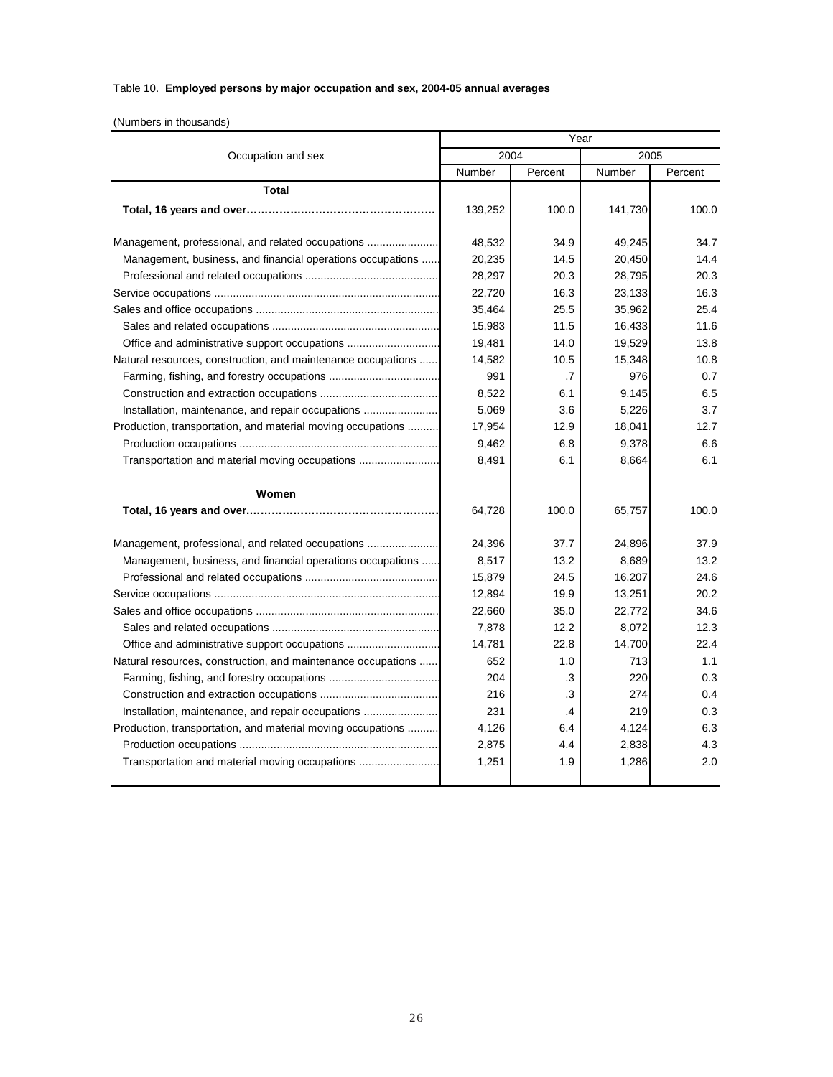## Table 10. **Employed persons by major occupation and sex, 2004-05 annual averages**

(Numbers in thousands)

|                                                              | Year    |           |         |         |
|--------------------------------------------------------------|---------|-----------|---------|---------|
| Occupation and sex                                           | 2004    |           | 2005    |         |
|                                                              | Number  | Percent   | Number  | Percent |
| <b>Total</b>                                                 |         |           |         |         |
|                                                              | 139,252 | 100.0     | 141,730 | 100.0   |
|                                                              |         |           |         |         |
| Management, professional, and related occupations            | 48,532  | 34.9      | 49,245  | 34.7    |
| Management, business, and financial operations occupations   | 20,235  | 14.5      | 20,450  | 14.4    |
|                                                              | 28,297  | 20.3      | 28,795  | 20.3    |
|                                                              | 22,720  | 16.3      | 23,133  | 16.3    |
|                                                              | 35,464  | 25.5      | 35,962  | 25.4    |
|                                                              | 15,983  | 11.5      | 16,433  | 11.6    |
| Office and administrative support occupations                | 19,481  | 14.0      | 19,529  | 13.8    |
| Natural resources, construction, and maintenance occupations | 14,582  | 10.5      | 15,348  | 10.8    |
|                                                              | 991     | $\cdot$ 7 | 976     | 0.7     |
|                                                              | 8,522   | 6.1       | 9,145   | 6.5     |
| Installation, maintenance, and repair occupations            | 5,069   | 3.6       | 5,226   | 3.7     |
| Production, transportation, and material moving occupations  | 17,954  | 12.9      | 18,041  | 12.7    |
|                                                              | 9,462   | 6.8       | 9,378   | 6.6     |
| Transportation and material moving occupations               | 8,491   | 6.1       | 8.664   | 6.1     |
| Women                                                        |         |           |         |         |
|                                                              | 64,728  | 100.0     | 65,757  | 100.0   |
| Management, professional, and related occupations            | 24,396  | 37.7      | 24,896  | 37.9    |
| Management, business, and financial operations occupations   | 8,517   | 13.2      | 8,689   | 13.2    |
|                                                              | 15,879  | 24.5      | 16,207  | 24.6    |
|                                                              | 12,894  | 19.9      | 13,251  | 20.2    |
|                                                              | 22,660  | 35.0      | 22,772  | 34.6    |
|                                                              | 7,878   | 12.2      | 8,072   | 12.3    |
| Office and administrative support occupations                | 14,781  | 22.8      | 14,700  | 22.4    |
| Natural resources, construction, and maintenance occupations | 652     | 1.0       | 713     | 1.1     |
|                                                              | 204     | .3        | 220     | 0.3     |
|                                                              | 216     | .3        | 274     | 0.4     |
| Installation, maintenance, and repair occupations            | 231     | .4        | 219     | 0.3     |
| Production, transportation, and material moving occupations  | 4,126   | 6.4       | 4,124   | 6.3     |
|                                                              | 2,875   | 4.4       | 2,838   | 4.3     |
| Transportation and material moving occupations               | 1,251   | 1.9       | 1,286   | 2.0     |